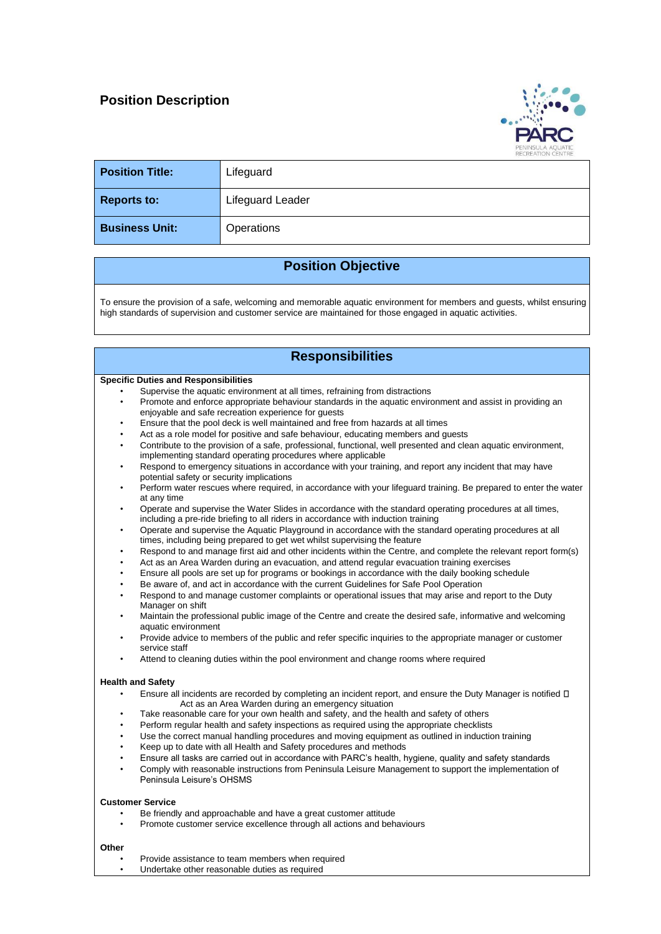## **Position Description**



| <b>Position Title:</b> | Lifeguard        |
|------------------------|------------------|
| <b>Reports to:</b>     | Lifeguard Leader |
| <b>Business Unit:</b>  | Operations       |

## **Position Objective**

To ensure the provision of a safe, welcoming and memorable aquatic environment for members and guests, whilst ensuring high standards of supervision and customer service are maintained for those engaged in aquatic activities.

| <b>Responsibilities</b>                     |                                                                                                                                                                                                |  |  |  |
|---------------------------------------------|------------------------------------------------------------------------------------------------------------------------------------------------------------------------------------------------|--|--|--|
| <b>Specific Duties and Responsibilities</b> |                                                                                                                                                                                                |  |  |  |
|                                             | Supervise the aquatic environment at all times, refraining from distractions                                                                                                                   |  |  |  |
| $\bullet$                                   | Promote and enforce appropriate behaviour standards in the aquatic environment and assist in providing an                                                                                      |  |  |  |
|                                             | enjoyable and safe recreation experience for quests                                                                                                                                            |  |  |  |
| $\bullet$                                   | Ensure that the pool deck is well maintained and free from hazards at all times                                                                                                                |  |  |  |
| $\bullet$                                   | Act as a role model for positive and safe behaviour, educating members and guests                                                                                                              |  |  |  |
| $\bullet$                                   | Contribute to the provision of a safe, professional, functional, well presented and clean aquatic environment,                                                                                 |  |  |  |
|                                             | implementing standard operating procedures where applicable                                                                                                                                    |  |  |  |
| $\bullet$                                   | Respond to emergency situations in accordance with your training, and report any incident that may have<br>potential safety or security implications                                           |  |  |  |
|                                             | Perform water rescues where required, in accordance with your lifeguard training. Be prepared to enter the water<br>at any time                                                                |  |  |  |
|                                             | Operate and supervise the Water Slides in accordance with the standard operating procedures at all times,<br>including a pre-ride briefing to all riders in accordance with induction training |  |  |  |
| $\bullet$                                   | Operate and supervise the Aquatic Playground in accordance with the standard operating procedures at all<br>times, including being prepared to get wet whilst supervising the feature          |  |  |  |
| $\bullet$                                   | Respond to and manage first aid and other incidents within the Centre, and complete the relevant report form(s)                                                                                |  |  |  |
| ٠                                           | Act as an Area Warden during an evacuation, and attend regular evacuation training exercises                                                                                                   |  |  |  |
| $\bullet$                                   | Ensure all pools are set up for programs or bookings in accordance with the daily booking schedule                                                                                             |  |  |  |
| $\bullet$                                   | Be aware of, and act in accordance with the current Guidelines for Safe Pool Operation                                                                                                         |  |  |  |
| ٠                                           | Respond to and manage customer complaints or operational issues that may arise and report to the Duty<br>Manager on shift                                                                      |  |  |  |
|                                             | Maintain the professional public image of the Centre and create the desired safe, informative and welcoming<br>aquatic environment                                                             |  |  |  |
|                                             | Provide advice to members of the public and refer specific inquiries to the appropriate manager or customer<br>service staff                                                                   |  |  |  |
|                                             | Attend to cleaning duties within the pool environment and change rooms where required                                                                                                          |  |  |  |
|                                             | <b>Health and Safety</b>                                                                                                                                                                       |  |  |  |
| $\bullet$                                   | Ensure all incidents are recorded by completing an incident report, and ensure the Duty Manager is notified $\Box$<br>Act as an Area Warden during an emergency situation                      |  |  |  |
| $\bullet$                                   | Take reasonable care for your own health and safety, and the health and safety of others                                                                                                       |  |  |  |
| $\bullet$                                   | Perform regular health and safety inspections as required using the appropriate checklists                                                                                                     |  |  |  |
| $\bullet$                                   | Use the correct manual handling procedures and moving equipment as outlined in induction training                                                                                              |  |  |  |
| $\bullet$                                   | Keep up to date with all Health and Safety procedures and methods                                                                                                                              |  |  |  |
| $\bullet$                                   | Ensure all tasks are carried out in accordance with PARC's health, hygiene, quality and safety standards                                                                                       |  |  |  |
| $\bullet$                                   | Comply with reasonable instructions from Peninsula Leisure Management to support the implementation of<br>Peninsula Leisure's OHSMS                                                            |  |  |  |
| <b>Customer Service</b>                     |                                                                                                                                                                                                |  |  |  |
|                                             | Be friendly and approachable and have a great customer attitude                                                                                                                                |  |  |  |
|                                             | Promote customer service excellence through all actions and behaviours                                                                                                                         |  |  |  |
| Other                                       |                                                                                                                                                                                                |  |  |  |
| $\bullet$                                   | Provide assistance to team members when required                                                                                                                                               |  |  |  |
| $\bullet$                                   | Undertake other reasonable duties as required                                                                                                                                                  |  |  |  |
|                                             |                                                                                                                                                                                                |  |  |  |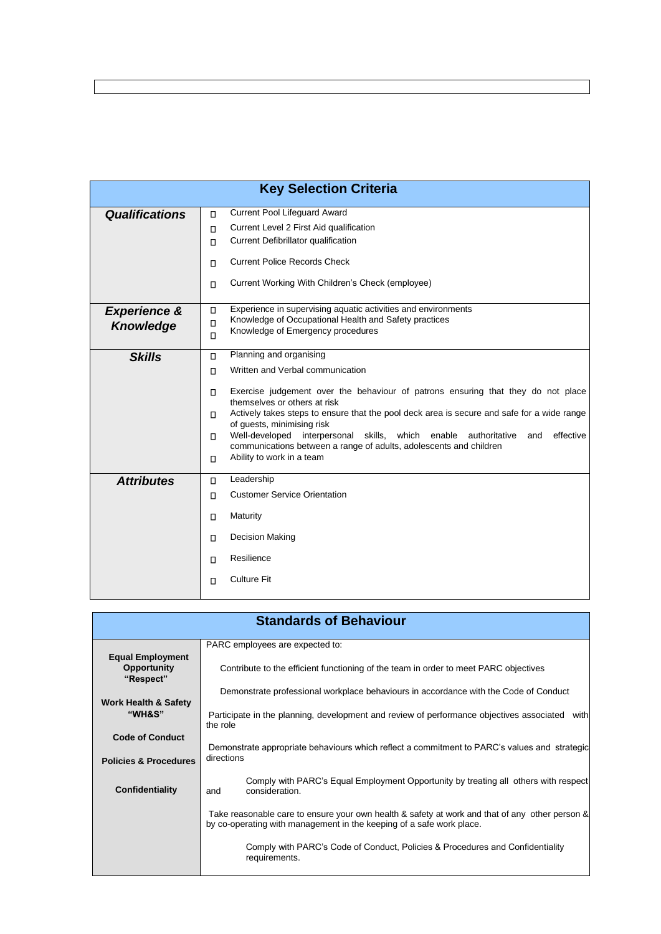| <b>Key Selection Criteria</b>               |                                                                                                                                                                                                                                                                                                                                                                                                                                                                                                                                                                         |  |  |  |  |
|---------------------------------------------|-------------------------------------------------------------------------------------------------------------------------------------------------------------------------------------------------------------------------------------------------------------------------------------------------------------------------------------------------------------------------------------------------------------------------------------------------------------------------------------------------------------------------------------------------------------------------|--|--|--|--|
| <b>Qualifications</b>                       | Current Pool Lifeguard Award<br>$\Box$<br>Current Level 2 First Aid qualification<br>$\Box$<br>Current Defibrillator qualification<br>$\Box$<br><b>Current Police Records Check</b><br>$\Box$<br>Current Working With Children's Check (employee)<br>$\Box$                                                                                                                                                                                                                                                                                                             |  |  |  |  |
| <b>Experience &amp;</b><br><b>Knowledge</b> | Experience in supervising aquatic activities and environments<br>$\Box$<br>Knowledge of Occupational Health and Safety practices<br>$\Box$<br>Knowledge of Emergency procedures<br>$\Box$                                                                                                                                                                                                                                                                                                                                                                               |  |  |  |  |
| <b>Skills</b>                               | Planning and organising<br>$\Box$<br>Written and Verbal communication<br>$\Box$<br>Exercise judgement over the behaviour of patrons ensuring that they do not place<br>$\Box$<br>themselves or others at risk<br>Actively takes steps to ensure that the pool deck area is secure and safe for a wide range<br>$\Box$<br>of guests, minimising risk<br>Well-developed<br>interpersonal skills, which enable<br>effective<br>authoritative<br>and<br>$\Box$<br>communications between a range of adults, adolescents and children<br>Ability to work in a team<br>$\Box$ |  |  |  |  |
| <b>Attributes</b>                           | Leadership<br>$\Box$<br><b>Customer Service Orientation</b><br>$\Box$<br>Maturity<br>$\Box$<br>Decision Making<br>$\Box$<br>Resilience<br>$\Box$<br><b>Culture Fit</b><br>$\Box$                                                                                                                                                                                                                                                                                                                                                                                        |  |  |  |  |

| <b>Standards of Behaviour</b>                              |                                                                                                                                                                        |  |  |  |
|------------------------------------------------------------|------------------------------------------------------------------------------------------------------------------------------------------------------------------------|--|--|--|
|                                                            | PARC employees are expected to:                                                                                                                                        |  |  |  |
| <b>Equal Employment</b><br><b>Opportunity</b><br>"Respect" | Contribute to the efficient functioning of the team in order to meet PARC objectives                                                                                   |  |  |  |
|                                                            | Demonstrate professional workplace behaviours in accordance with the Code of Conduct                                                                                   |  |  |  |
| <b>Work Health &amp; Safety</b><br>"WH&S"                  | Participate in the planning, development and review of performance objectives associated with<br>the role                                                              |  |  |  |
| <b>Code of Conduct</b>                                     |                                                                                                                                                                        |  |  |  |
| <b>Policies &amp; Procedures</b>                           | Demonstrate appropriate behaviours which reflect a commitment to PARC's values and strategic<br>directions                                                             |  |  |  |
| Confidentiality                                            | Comply with PARC's Equal Employment Opportunity by treating all others with respect<br>consideration.<br>and                                                           |  |  |  |
|                                                            | Take reasonable care to ensure your own health & safety at work and that of any other person &<br>by co-operating with management in the keeping of a safe work place. |  |  |  |
|                                                            | Comply with PARC's Code of Conduct, Policies & Procedures and Confidentiality<br>requirements.                                                                         |  |  |  |